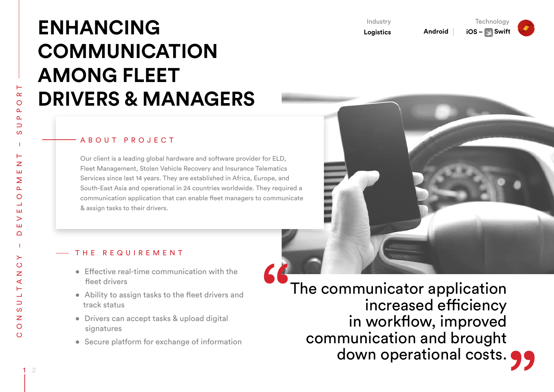# **ENHANCING COMMUNICATION AMONG FLEET DRIVERS & MANAGERS**

#### A B O U T P R O J E C T

Our client is a leading global hardware and software provider for ELD, Fleet Management, Stolen Vehicle Recovery and Insurance Telematics Services since last 14 years. They are established in Africa, Europe, and South-East Asia and operational in 24 countries worldwide. They required a communication application that can enable fleet managers to communicate & assign tasks to their drivers.



**Android** 

**Technology** 

**iOS** – Swift

Industry **Logistics**

#### THE REQUIREMENT

- Effective real-time communication with the fleet drivers
- Ability to assign tasks to the fleet drivers and track status
- Drivers can accept tasks & upload digital signatures
- Secure platform for exchange of information

 The communicator application increased efficiency in workflow, improved communication and brought down operational costs.